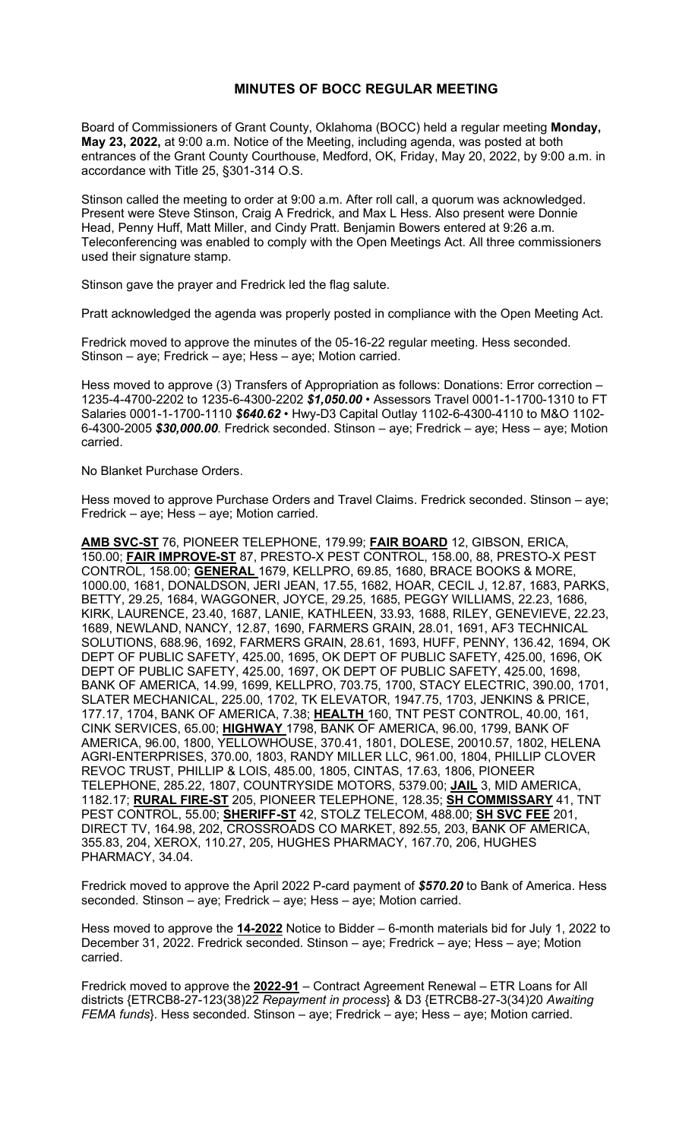## **MINUTES OF BOCC REGULAR MEETING**

Board of Commissioners of Grant County, Oklahoma (BOCC) held a regular meeting **Monday, May 23, 2022,** at 9:00 a.m. Notice of the Meeting, including agenda, was posted at both entrances of the Grant County Courthouse, Medford, OK, Friday, May 20, 2022, by 9:00 a.m. in accordance with Title 25, §301-314 O.S.

Stinson called the meeting to order at 9:00 a.m. After roll call, a quorum was acknowledged. Present were Steve Stinson, Craig A Fredrick, and Max L Hess. Also present were Donnie Head, Penny Huff, Matt Miller, and Cindy Pratt. Benjamin Bowers entered at 9:26 a.m. Teleconferencing was enabled to comply with the Open Meetings Act. All three commissioners used their signature stamp.

Stinson gave the prayer and Fredrick led the flag salute.

Pratt acknowledged the agenda was properly posted in compliance with the Open Meeting Act.

Fredrick moved to approve the minutes of the 05-16-22 regular meeting. Hess seconded. Stinson – aye; Fredrick – aye; Hess – aye; Motion carried.

Hess moved to approve (3) Transfers of Appropriation as follows: Donations: Error correction -1235-4-4700-2202 to 1235-6-4300-2202 *\$1,050.00* • Assessors Travel 0001-1-1700-1310 to FT Salaries 0001-1-1700-1110 *\$640.62* • Hwy-D3 Capital Outlay 1102-6-4300-4110 to M&O 1102- 6-4300-2005 *\$30,000.00*. Fredrick seconded. Stinson – aye; Fredrick – aye; Hess – aye; Motion carried.

## No Blanket Purchase Orders.

Hess moved to approve Purchase Orders and Travel Claims. Fredrick seconded. Stinson – aye; Fredrick – aye; Hess – aye; Motion carried.

**AMB SVC-ST** 76, PIONEER TELEPHONE, 179.99; **FAIR BOARD** 12, GIBSON, ERICA, 150.00; **FAIR IMPROVE-ST** 87, PRESTO-X PEST CONTROL, 158.00, 88, PRESTO-X PEST CONTROL, 158.00; **GENERAL** 1679, KELLPRO, 69.85, 1680, BRACE BOOKS & MORE, 1000.00, 1681, DONALDSON, JERI JEAN, 17.55, 1682, HOAR, CECIL J, 12.87, 1683, PARKS, BETTY, 29.25, 1684, WAGGONER, JOYCE, 29.25, 1685, PEGGY WILLIAMS, 22.23, 1686, KIRK, LAURENCE, 23.40, 1687, LANIE, KATHLEEN, 33.93, 1688, RILEY, GENEVIEVE, 22.23, 1689, NEWLAND, NANCY, 12.87, 1690, FARMERS GRAIN, 28.01, 1691, AF3 TECHNICAL SOLUTIONS, 688.96, 1692, FARMERS GRAIN, 28.61, 1693, HUFF, PENNY, 136.42, 1694, OK DEPT OF PUBLIC SAFETY, 425.00, 1695, OK DEPT OF PUBLIC SAFETY, 425.00, 1696, OK DEPT OF PUBLIC SAFETY, 425.00, 1697, OK DEPT OF PUBLIC SAFETY, 425.00, 1698, BANK OF AMERICA, 14.99, 1699, KELLPRO, 703.75, 1700, STACY ELECTRIC, 390.00, 1701, SLATER MECHANICAL, 225.00, 1702, TK ELEVATOR, 1947.75, 1703, JENKINS & PRICE, 177.17, 1704, BANK OF AMERICA, 7.38; **HEALTH** 160, TNT PEST CONTROL, 40.00, 161, CINK SERVICES, 65.00; **HIGHWAY** 1798, BANK OF AMERICA, 96.00, 1799, BANK OF AMERICA, 96.00, 1800, YELLOWHOUSE, 370.41, 1801, DOLESE, 20010.57, 1802, HELENA AGRI-ENTERPRISES, 370.00, 1803, RANDY MILLER LLC, 961.00, 1804, PHILLIP CLOVER REVOC TRUST, PHILLIP & LOIS, 485.00, 1805, CINTAS, 17.63, 1806, PIONEER TELEPHONE, 285.22, 1807, COUNTRYSIDE MOTORS, 5379.00; **JAIL** 3, MID AMERICA, 1182.17; **RURAL FIRE-ST** 205, PIONEER TELEPHONE, 128.35; **SH COMMISSARY** 41, TNT PEST CONTROL, 55.00; **SHERIFF-ST** 42, STOLZ TELECOM, 488.00; **SH SVC FEE** 201, DIRECT TV, 164.98, 202, CROSSROADS CO MARKET, 892.55, 203, BANK OF AMERICA, 355.83, 204, XEROX, 110.27, 205, HUGHES PHARMACY, 167.70, 206, HUGHES PHARMACY, 34.04.

Fredrick moved to approve the April 2022 P-card payment of *\$570.20* to Bank of America. Hess seconded. Stinson – aye; Fredrick – aye; Hess – aye; Motion carried.

Hess moved to approve the **14-2022** Notice to Bidder – 6-month materials bid for July 1, 2022 to December 31, 2022. Fredrick seconded. Stinson – aye; Fredrick – aye; Hess – aye; Motion carried.

Fredrick moved to approve the **2022-91** – Contract Agreement Renewal – ETR Loans for All districts {ETRCB8-27-123(38)22 *Repayment in process*} & D3 {ETRCB8-27-3(34)20 *Awaiting FEMA funds*}. Hess seconded. Stinson – aye; Fredrick – aye; Hess – aye; Motion carried.